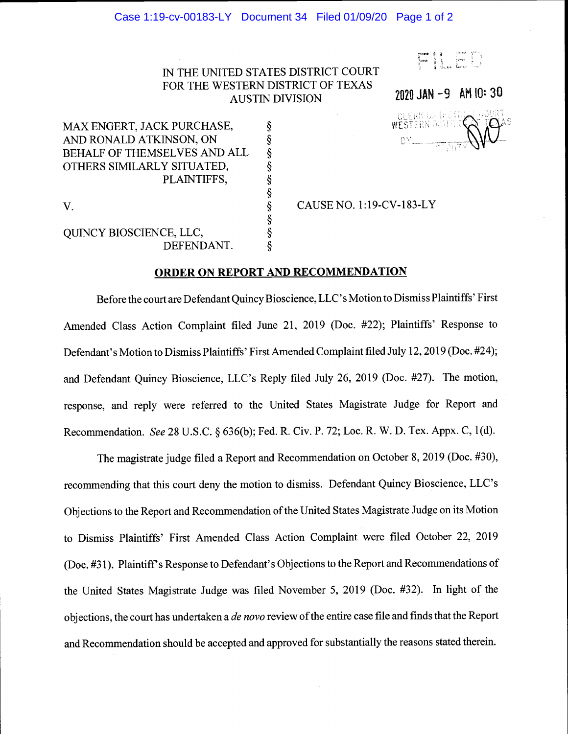## Case 1:19-cv-00183-LY Document 34 Filed 01/09/20 Page 1 of 2

## IN THE UNITED STATES DISTRICT COURT FOR THE WESTERN DISTRICT OF TEXAS AUSTIN DIVISION

FILED

2020 JAN -9 AM 10:30 CLERK US DES D<br>WESTERN DISTRI<br>BY The Press

MAX ENGERT, JACK PURCHASE,  $\S$ <br>AND RONALD ATKINSON, ON  $\S$ AND RONALD ATKINSON, ON BEHALF OF THEMSELVES AND ALL OTHERS SIMILARLY SITUATED, § PLAINTIFFS, V.

QUINCY BIOSCIENCE, LLC,  $\S$ <br>DEFENDANT.  $\S$ DEFENDANT.

§ CAUSE NO. 1:19-CV-183-LY

## ORDER ON REPORT AND RECOMMENDATION

§

Before the court are Defendant Quincy Bioscience, LLC' s Motion to Dismiss Plaintiffs' First Amended Class Action Complaint filed June 21, 2019 (Doc. #22); Plaintiffs' Response to Defendant's Motion to Dismiss Plaintiffs' First Amended Complaint filed July 12, 2019 (Doc. #24); and Defendant Quincy Bioscience, LLC's Reply filed July 26, 2019 (Doe. #27). The motion, response, and reply were referred to the United States Magistrate Judge for Report and Recommendation. See 28 U.S.C. § 636(b); Fed. R. Civ. P. 72; Loc. R. W. D. Tex. Appx. C, 1(d).

The magistrate judge filed a Report and Recommendation on October 8, 2019 (Doe. #30), recommending that this court deny the motion to dismiss. Defendant Quincy Bioscience, LLC's Objections to the Report and Recommendation of the United States Magistrate Judge on its Motion to Dismiss Plaintiffs' First Amended Class Action Complaint were filed October 22, 2019 (Doe. #3 1). Plaintiff's Response to Defendant's Objections to the Report and Recommendations of the United States Magistrate Judge was filed November 5, 2019 (Doe. #32). In light of the objections, the court has undertaken a *de novo* review of the entire case file and finds that the Report and Recommendation should be accepted and approved for substantially the reasons stated therein.